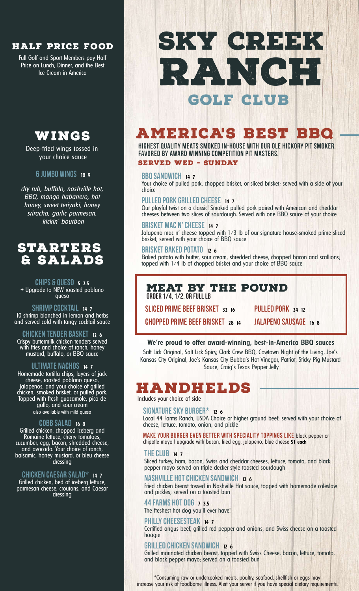### **HALF PRICE FOOD**

Full Golf and Sport Members pay Half Price on Lunch, Dinner, and the Best Ice Cream in America

## **WINGS**

Deep-fried wings tossed in your choice sauce

### 6JUMBO Wings **<sup>18</sup> <sup>9</sup>**

*dry rub, buffalo, nashville hot, BBQ, mango habanero, hot honey, sweet teriyaki, honey sriracha, garlic parmesan, kickin' bourbon*

## **STARTERS & Salads**

## Chips & Queso **<sup>5</sup> 2.5**

+ Upgrade to NEW roasted poblano queso

### ShrimpCocktail **<sup>14</sup> <sup>7</sup>** 10 shrimp blanched in lemon and herbs and served cold with tangy cocktail sauce

Chicken Tender Basket **<sup>12</sup> <sup>6</sup>** Crispy buttermilk chicken tenders served with fries and choice of ranch, honey mustard, buffalo, or BBQ sauce

### Ultimate Nachos **<sup>14</sup> <sup>7</sup>**

Homemade tortilla chips, layers of jack cheese, roasted poblano queso, jalapenos, and your choice of grilled chicken, smoked brisket, or pulled pork. Topped with fresh guacamole, pico de gallo, and sour cream also available with mild queso

### Cobb Salad **<sup>16</sup> <sup>8</sup>**

Grilled chicken, chopped iceberg and Romaine lettuce, cherry tomatoes, cucumber, egg, bacon, shredded cheese, and avocado. Your choice of ranch, balsamic, honey mustard, or bleu cheese dressing

### Chicken Caesar Salad\* **<sup>14</sup> <sup>7</sup>**

Grilled chicken, bed of iceberg lettuce, parmesan cheese, croutons, and Caesar dressing

# **GOLF club RANCH SKY CREEK**

## **AMERICA'S BEST BBQ**

Highest Quality Meats smoked in-house with our Ole Hickory Pit Smoker, favored by award winning competition pit masters. **SERVED WED - SUNday**

### BBQSandwich **<sup>14</sup> <sup>7</sup>**

Your choice of pulled pork, chopped brisket, or sliced brisket; served with a side of your choice

### Pulled Pork Grilled Cheese **<sup>14</sup> <sup>7</sup>**

Our playful twist on a classic! Smoked pulled pork paired with American and cheddar cheeses between two slices of sourdough. Served with one BBQ sauce of your choice

### Brisket Mac N'Cheese **<sup>14</sup> <sup>7</sup>**

Jalapeno mac n' cheese topped with  $1/3$  lb of our signature house-smoked prime sliced brisket; served with your choice of BBQ sauce

### Brisket Baked Potato **<sup>12</sup> <sup>6</sup>**

Baked potato with butter, sour cream, shredded cheese, chopped bacon and scallions; topped with 1/4 lb of chopped brisket and your choice of BBQ sauce

## **MEAT BY THE POUND**

ORDER 1/4,1/2,OR FULLLB

Sliced Prime Beef Brisket **<sup>32</sup> <sup>16</sup>**

Pulled Pork **<sup>24</sup> <sup>12</sup>**

Chopped Prime Beef Brisket **<sup>28</sup> <sup>14</sup>**

JALAPENO SAUSAGE **16** 8

### **We're proud to offer award-winning, best-in-America BBQ sauces**

Salt Lick Original, Salt Lick Spicy, Clark Crew BBQ, Cowtown Night of the Living, Joe's Kansas City Original, Joe's Kansas City Bubba's Hot Vinegar, Patriot, Sticky Pig Mustard Sauce, Craig's Texas Pepper Jelly

## **HANDHELDS**

Includes your choice of side

### SIGNATURE SKY BURGER\* **12 6**

Local 44 Farms Ranch, USDA Choice or higher ground beef; served with your choice of cheese, lettuce, tomato, onion, and pickle

MAKE YOUR BURGER EVEN BETTER with speciality toppings like black pepper or chipotle mayo | upgrade with bacon, fried egg, jalapeno, blue cheese **\$1 each**

### TheClub **<sup>14</sup> <sup>7</sup>**

Sliced turkey, ham, bacon, Swiss and cheddar cheeses, lettuce, tomato, and black pepper mayo served on triple decker style toasted sourdough

### **NASHVILLE HOT CHICKEN SANDWICH 12 6**

Fried chicken breast tossed in Nashville Hot sauce, topped with homemade coleslaw and pickles; served on a toasted bun

### 44Farms Hot Dog **<sup>7</sup> 3.5**

The freshest hot dog you'll ever have!

### PhillyCheesesteak **<sup>14</sup> <sup>7</sup>**

Certified angus beef, grilled red pepper and onions, and Swiss cheese on a toasted hoagie

### Grilled Chicken Sandwich **<sup>12</sup> <sup>6</sup>**

Grilled marinated chicken breast, topped with Swiss Cheese, bacon, lettuce, tomato, and black pepper mayo; served on a toasted bun

\*Consuming raw or undercooked meats, poultry, seafood, shellfish or eggs may increase your risk of foodborne illness. Alert your server if you have special dietary requirements.